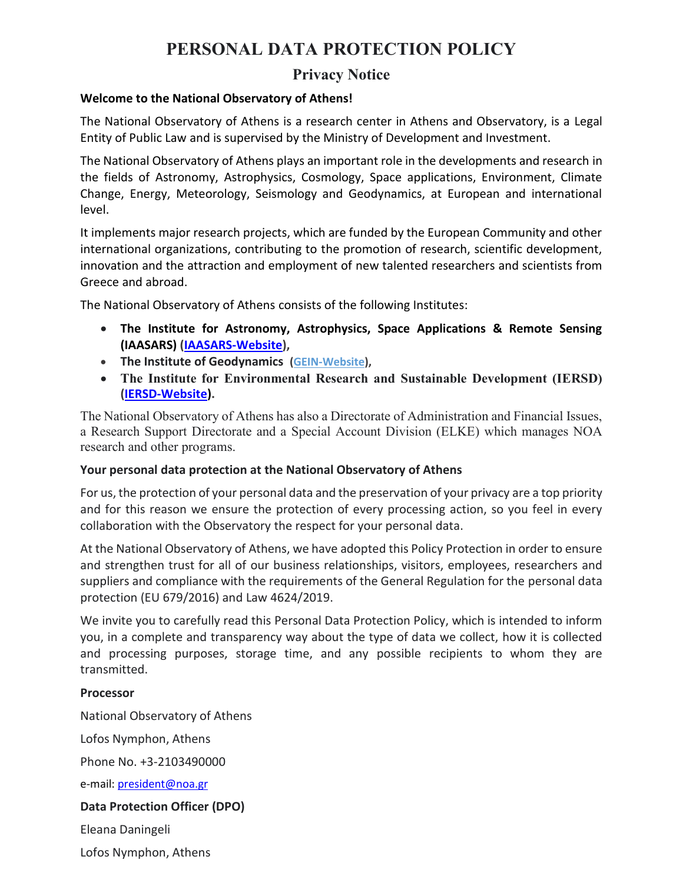# **PERSONAL DATA PROTECTION POLICY**

## **Privacy Notice**

### **Welcome to the National Observatory of Athens!**

The National Observatory of Athens is a research center in Athens and Observatory, is a Legal Entity of Public Law and is supervised by the Ministry of Development and Investment.

The National Observatory of Athens plays an important role in the developments and research in the fields of Astronomy, Astrophysics, Cosmology, Space applications, Environment, Climate Change, Energy, Meteorology, Seismology and Geodynamics, at European and international level.

It implements major research projects, which are funded by the European Community and other international organizations, contributing to the promotion of research, scientific development, innovation and the attraction and employment of new talented researchers and scientists from Greece and abroad.

The National Observatory of Athens consists of the following Institutes:

- **The Institute for Astronomy, Astrophysics, Space Applications & Remote Sensing (IAASARS) [\(IAASARS-Website\)](https://www.astro.noa.gr/),**
- **The Institute of Geodynamics [\(GEIN-Website\)](https://www.gein.noa.gr/),**
- **The Institute for Environmental Research and Sustainable Development (IERSD) [\(IERSD-Website\)](https://www.iersd.noa.gr/).**

The National Observatory of Athens has also a Directorate of Administration and Financial Issues, a Research Support Directorate and a Special Account Division (ELKE) which manages NOA research and other programs.

## **Your personal data protection at the National Observatory of Athens**

For us, the protection of your personal data and the preservation of your privacy are a top priority and for this reason we ensure the protection of every processing action, so you feel in every collaboration with the Observatory the respect for your personal data.

At the National Observatory of Athens, we have adopted this Policy Protection in order to ensure and strengthen trust for all of our business relationships, visitors, employees, researchers and suppliers and compliance with the requirements of the General Regulation for the personal data protection (EU 679/2016) and Law 4624/2019.

We invite you to carefully read this Personal Data Protection Policy, which is intended to inform you, in a complete and transparency way about the type of data we collect, how it is collected and processing purposes, storage time, and any possible recipients to whom they are transmitted.

## **Processor**

National Observatory of Athens

Lofos Nymphon, Athens

Phone No. +3-2103490000

e-mail: [president@noa.gr](mailto:president@noa.gr)

## **Data Protection Officer (DPO)**

Eleana Daningeli

Lofos Nymphon, Athens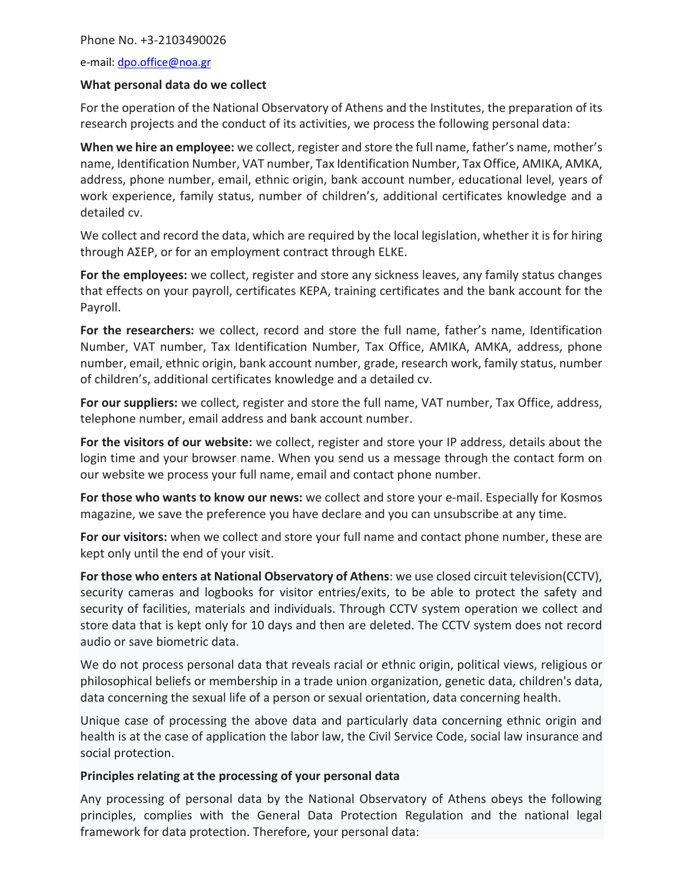#### Phone No. +3-2103490026

e-mail: [dpo.office@noa.gr](mailto:dpo.office@noa.gr)

#### **What personal data do we collect**

For the operation of the National Observatory of Athens and the Institutes, the preparation of its research projects and the conduct of its activities, we process the following personal data:

**When we hire an employee:** we collect, register and store the full name, father's name, mother's name, Identification Number, VAT number, Tax Identification Number, Tax Office, AMIKA, AMKA, address, phone number, email, ethnic origin, bank account number, educational level, years of work experience, family status, number of children's, additional certificates knowledge and a detailed cv.

We collect and record the data, which are required by the local legislation, whether it is for hiring through AΣEP, or for an employment contract through ELKE.

**For the employees:** we collect, register and store any sickness leaves, any family status changes that effects on your payroll, certificates KEPA, training certificates and the bank account for the Payroll.

**For the researchers:** we collect, record and store the full name, father's name, Identification Number, VAT number, Tax Identification Number, Tax Office, AMIKA, AMKA, address, phone number, email, ethnic origin, bank account number, grade, research work, family status, number of children's, additional certificates knowledge and a detailed cv.

**For our suppliers:** we collect, register and store the full name, VAT number, Tax Office, address, telephone number, email address and bank account number.

**For the visitors of our website:** we collect, register and store your IP address, details about the login time and your browser name. When you send us a message through the contact form on our website we process your full name, email and contact phone number.

**For those who wants to know our news:** we collect and store your e-mail. Especially for Kosmos magazine, we save the preference you have declare and you can unsubscribe at any time.

**For our visitors:** when we collect and store your full name and contact phone number, these are kept only until the end of your visit.

**For those who enters at National Observatory of Athens**: we use closed circuit television(CCTV), security cameras and logbooks for visitor entries/exits, to be able to protect the safety and security of facilities, materials and individuals. Through CCTV system operation we collect and store data that is kept only for 10 days and then are deleted. The CCTV system does not record audio or save biometric data.

We do not process personal data that reveals racial or ethnic origin, political views, religious or philosophical beliefs or membership in a trade union organization, genetic data, children's data, data concerning the sexual life of a person or sexual orientation, data concerning health.

Unique case of processing the above data and particularly data concerning ethnic origin and health is at the case of application the labor law, the Civil Service Code, social law insurance and social protection.

#### **Principles relating at the processing of your personal data**

Any processing of personal data by the National Observatory of Athens obeys the following principles, complies with the General Data Protection Regulation and the national legal framework for data protection. Therefore, your personal data: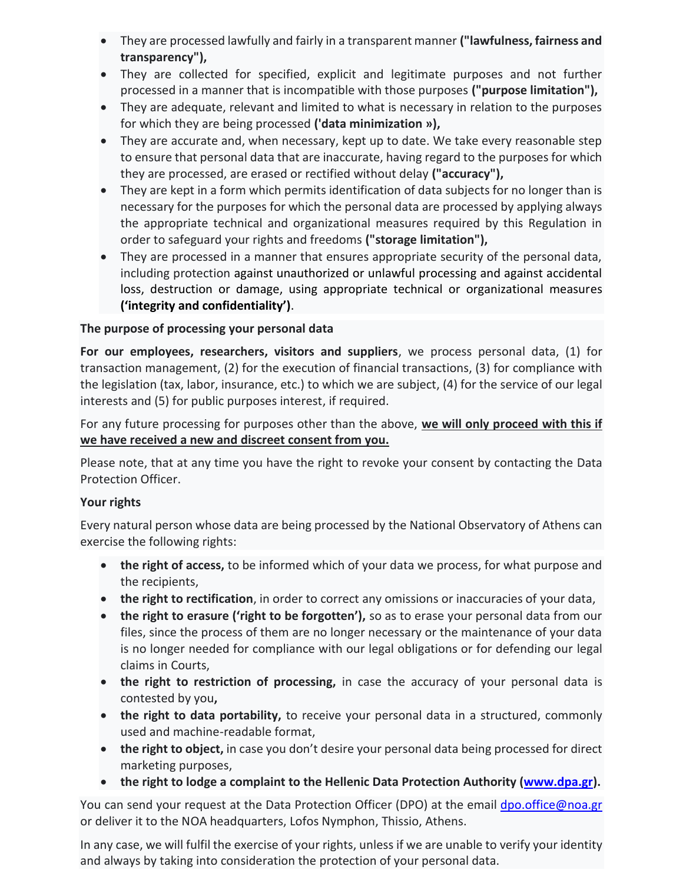- They are processed lawfully and fairly in a transparent manner **("lawfulness, fairness and transparency"),**
- They are collected for specified, explicit and legitimate purposes and not further processed in a manner that is incompatible with those purposes **("purpose limitation"),**
- They are adequate, relevant and limited to what is necessary in relation to the purposes for which they are being processed **('data minimization »),**
- They are accurate and, when necessary, kept up to date. We take every reasonable step to ensure that personal data that are inaccurate, having regard to the purposes for which they are processed, are erased or rectified without delay **("accuracy"),**
- They are kept in a form which permits identification of data subjects for no longer than is necessary for the purposes for which the personal data are processed by applying always the appropriate technical and organizational measures required by this Regulation in order to safeguard your rights and freedoms **("storage limitation"),**
- They are processed in a manner that ensures appropriate security of the personal data, including protection against unauthorized or unlawful processing and against accidental loss, destruction or damage, using appropriate technical or organizational measures **('integrity and confidentiality')**.

## **The purpose of processing your personal data**

**For our employees, researchers, visitors and suppliers**, we process personal data, (1) for transaction management, (2) for the execution of financial transactions, (3) for compliance with the legislation (tax, labor, insurance, etc.) to which we are subject, (4) for the service of our legal interests and (5) for public purposes interest, if required.

For any future processing for purposes other than the above, **we will only proceed with this if we have received a new and discreet consent from you.**

Please note, that at any time you have the right to revoke your consent by contacting the Data Protection Officer.

## **Your rights**

Every natural person whose data are being processed by the National Observatory of Athens can exercise the following rights:

- **the right of access,** to be informed which of your data we process, for what purpose and the recipients,
- **the right to rectification**, in order to correct any omissions or inaccuracies of your data,
- **the right to erasure ('right to be forgotten'),** so as to erase your personal data from our files, since the process of them are no longer necessary or the maintenance of your data is no longer needed for compliance with our legal obligations or for defending our legal claims in Courts,
- the right to restriction of processing, in case the accuracy of your personal data is contested by you**,**
- **the right to data portability,** to receive your personal data in a structured, commonly used and machine-readable format,
- **the right to object,** in case you don't desire your personal data being processed for direct marketing purposes,
- **the right to lodge a complaint to the Hellenic Data Protection Authority [\(www.dpa.gr\)](http://www.dpa.gr/).**

You can send your request at the Data Protection Officer (DPO) at the email [dpo.office@noa.gr](mailto:dpo.office@noa.gr) or deliver it to the NOA headquarters, Lofos Nymphon, Thissio, Athens.

In any case, we will fulfil the exercise of your rights, unless if we are unable to verify your identity and always by taking into consideration the protection of your personal data.